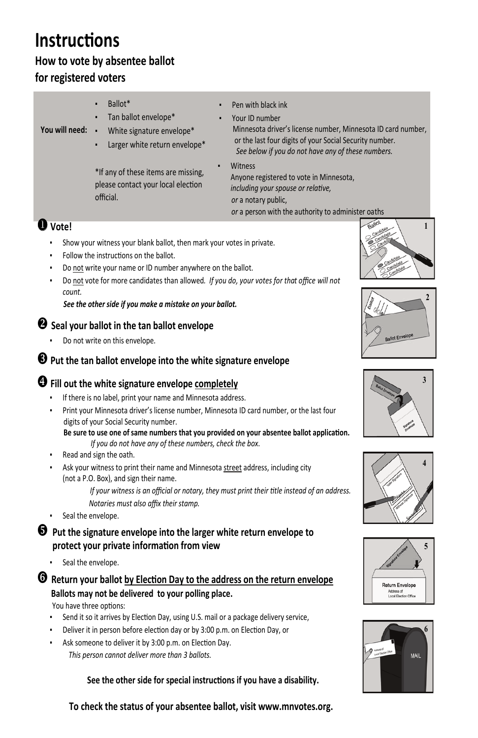# **Instruc�ons**

#### **How to vote by absentee ballot for registered voters**

- Ballot\*
- Tan ballot envelope\*
- **You will need:**
	- White signature envelope\*
	- Larger white return envelope\*
- Pen with black ink
- Your ID number Minnesota driver's license number, Minnesota ID card number, or the last four digits of your Social Security number. *See below if you do not have any of these numbers.*
- **Witness** Anyone registered to vote in Minnesota, *including your spouse or relative, or* a notary public,  *or* a person with the authority to administer oaths

\*If any of these items are missing, please contact your local election official.

- Show your witness your blank ballot, then mark your votes in private.
- Follow the instructions on the ballot.
- Do not write your name or ID number anywhere on the ballot.
- Do not vote for more candidates than allowed*. If you do, your votes for that office will not count.*

- Do not write on this envelope.
- **Put the tan ballot envelope into the white signature envelope**

#### **protect your private informa�on from view**

- Seal the envelope.
- **a** Return your ballot by Election Day to the address on the return envelope  $\left\{ \left\| \int_{\text{Return Envelope}} \right\| \right\}$ **Ballots may not be delivered to your polling place.** The contract control of the class of

You have three options:

- Send it so it arrives by Election Day, using U.S. mail or a package delivery service,
- Deliver it in person before election day or by 3:00 p.m. on Election Day, or
- Ask someone to deliver it by 3:00 p.m. on Election Day.

### **Vote!**

- If there is no label, print your name and Minnesota address.
- Print your Minnesota driver's license number, Minnesota ID card number, or the last four digits of your Social Security number.

- Read and sign the oath.
- Ask your witness to print their name and Minnesota street address, including city (not a P.O. Box), and sign their name.

*See the other side if you make a mistake on your ballot.* 

*If your witness is an official or notary, they must print their title instead of an address. Notaries must also affix their stamp.*

Seal the envelope.

#### **Seal your ballot in the tan ballot envelope**

#### **Fill out the white signature envelope completely**



 **Be sure to use one of same numbers that you provided on your absentee ballot applica�on.** *If you do not have any of these numbers, check the box*.

*This person cannot deliver more than 3 ballots.*

 **See the other side for special instruc�ons if you have a disability.**

**To check the status of your absentee ballot, visit www.mnvotes.org.**